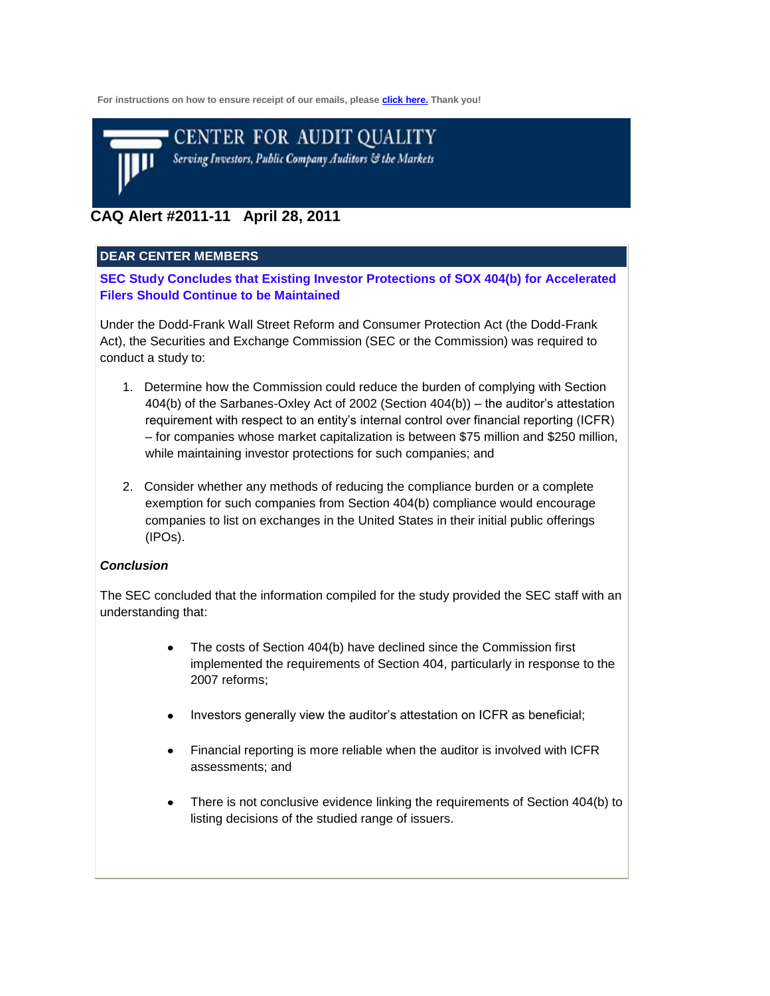**For instructions on how to ensure receipt of our emails, please [click here.](http://www.thecaq.org/CAQ_Email_Campaign.htm) Thank you!**



# **CAQ Alert #2011-11 April 28, 2011**

### **DEAR CENTER MEMBERS**

**SEC Study Concludes that Existing Investor Protections of SOX 404(b) for Accelerated Filers Should Continue to be Maintained**

Under the Dodd-Frank Wall Street Reform and Consumer Protection Act (the Dodd-Frank Act), the Securities and Exchange Commission (SEC or the Commission) was required to conduct a study to:

- 1. Determine how the Commission could reduce the burden of complying with Section 404(b) of the Sarbanes-Oxley Act of 2002 (Section 404(b)) – the auditor's attestation requirement with respect to an entity's internal control over financial reporting (ICFR) – for companies whose market capitalization is between \$75 million and \$250 million, while maintaining investor protections for such companies; and
- 2. Consider whether any methods of reducing the compliance burden or a complete exemption for such companies from Section 404(b) compliance would encourage companies to list on exchanges in the United States in their initial public offerings (IPOs).

#### *Conclusion*

The SEC concluded that the information compiled for the study provided the SEC staff with an understanding that:

- The costs of Section 404(b) have declined since the Commission first implemented the requirements of Section 404, particularly in response to the 2007 reforms;
- Investors generally view the auditor's attestation on ICFR as beneficial;
- Financial reporting is more reliable when the auditor is involved with ICFR  $\bullet$ assessments; and
- There is not conclusive evidence linking the requirements of Section 404(b) to  $\bullet$ listing decisions of the studied range of issuers.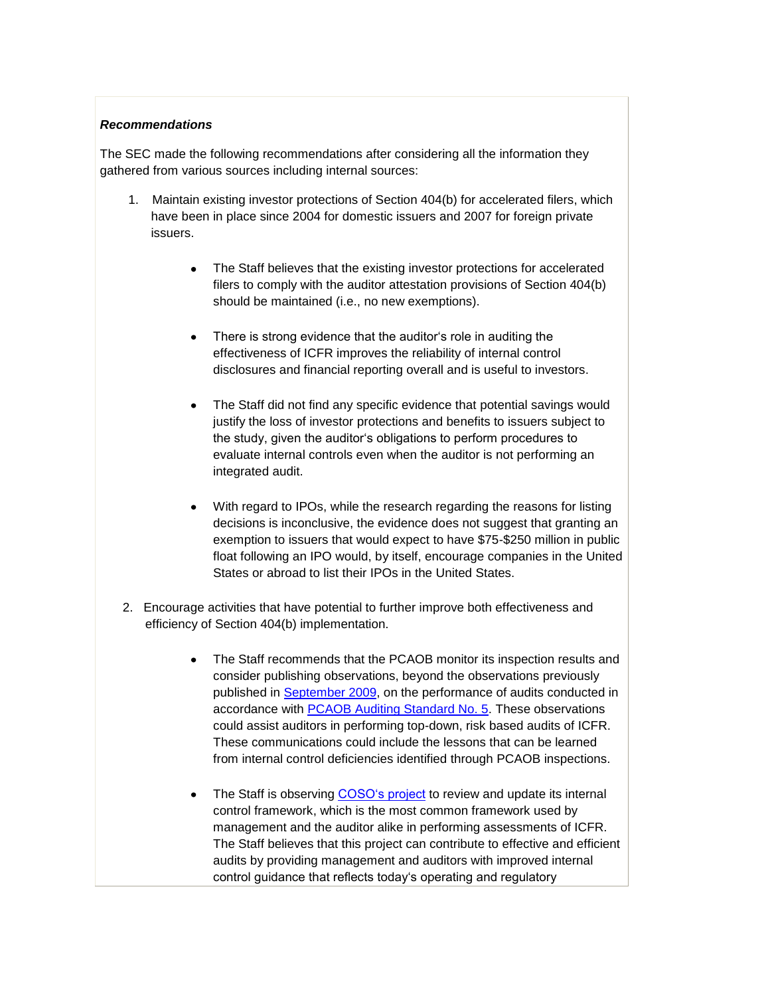### *Recommendations*

The SEC made the following recommendations after considering all the information they gathered from various sources including internal sources:

- 1. Maintain existing investor protections of Section 404(b) for accelerated filers, which have been in place since 2004 for domestic issuers and 2007 for foreign private issuers.
	- The Staff believes that the existing investor protections for accelerated filers to comply with the auditor attestation provisions of Section 404(b) should be maintained (i.e., no new exemptions).
	- There is strong evidence that the auditor's role in auditing the  $\bullet$ effectiveness of ICFR improves the reliability of internal control disclosures and financial reporting overall and is useful to investors.
	- The Staff did not find any specific evidence that potential savings would justify the loss of investor protections and benefits to issuers subject to the study, given the auditor's obligations to perform procedures to evaluate internal controls even when the auditor is not performing an integrated audit.
	- With regard to IPOs, while the research regarding the reasons for listing decisions is inconclusive, the evidence does not suggest that granting an exemption to issuers that would expect to have \$75-\$250 million in public float following an IPO would, by itself, encourage companies in the United States or abroad to list their IPOs in the United States.
- 2. Encourage activities that have potential to further improve both effectiveness and efficiency of Section 404(b) implementation.
	- The Staff recommends that the PCAOB monitor its inspection results and consider publishing observations, beyond the observations previously published in [September 2009,](http://pcaobus.org/Inspections/Documents/09-24_AS5_4010_Report.pdf) on the performance of audits conducted in accordance with [PCAOB Auditing Standard No. 5.](http://pcaobus.org/Standards/Auditing/Pages/Auditing_Standard_5.aspx) These observations could assist auditors in performing top-down, risk based audits of ICFR. These communications could include the lessons that can be learned from internal control deficiencies identified through PCAOB inspections.
	- The Staff is observing [COSO's project](http://www.coso.org/documents/COSOReleaseNov2010.pdf) to review and update its internal control framework, which is the most common framework used by management and the auditor alike in performing assessments of ICFR. The Staff believes that this project can contribute to effective and efficient audits by providing management and auditors with improved internal control guidance that reflects today's operating and regulatory